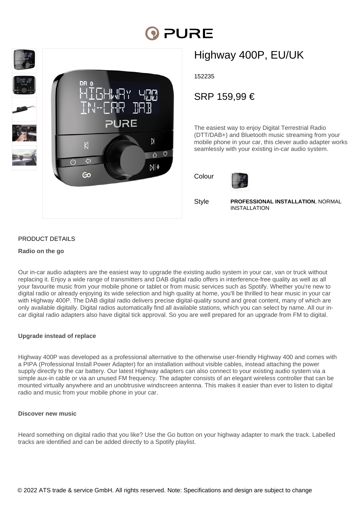# PURE



## Highway 400P, EU/UK

152235

### SRP 159,99 €

The easiest way to enjoy Digital Terrestrial Radio (DTT/DAB+) and Bluetooth music streaming from your mobile phone in your car, this clever audio adapter works seamlessly with your existing in-car audio system.





**Style** 

**PROFESSIONAL INSTALLATION**, NORMAL INSTALLATION

#### PRODUCT DETAILS

#### **Radio on the go**

Our in-car audio adapters are the easiest way to upgrade the existing audio system in your car, van or truck without replacing it. Enjoy a wide range of transmitters and DAB digital radio offers in interference-free quality as well as all your favourite music from your mobile phone or tablet or from music services such as Spotify. Whether you're new to digital radio or already enjoying its wide selection and high quality at home, you'll be thrilled to hear music in your car with Highway 400P. The DAB digital radio delivers precise digital-quality sound and great content, many of which are only available digitally. Digital radios automatically find all available stations, which you can select by name. All our incar digital radio adapters also have digital tick approval. So you are well prepared for an upgrade from FM to digital.

#### **Upgrade instead of replace**

Highway 400P was developed as a professional alternative to the otherwise user-friendly Highway 400 and comes with a PIPA (Professional Install Power Adapter) for an installation without visible cables, instead attaching the power supply directly to the car battery. Our latest Highway adapters can also connect to your existing audio system yia a simple aux-in cable or via an unused FM frequency. The adapter consists of an elegant wireless controller that can be mounted virtually anywhere and an unobtrusive windscreen antenna. This makes it easier than ever to listen to digital radio and music from your mobile phone in your car.

#### **Discover new music**

Heard something on digital radio that you like? Use the Go button on your highway adapter to mark the track. Labelled tracks are identified and can be added directly to a Spotify playlist.